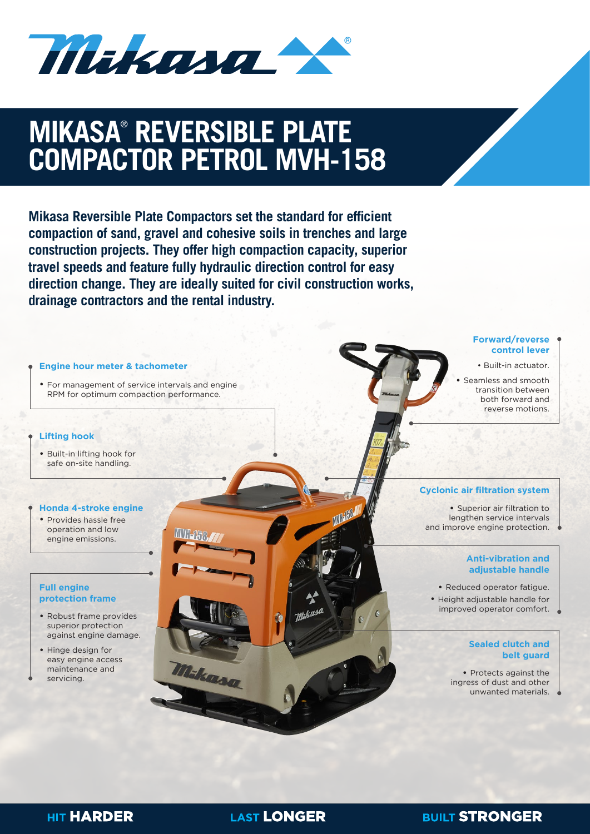Makana

# **CONCRETE VIBRATION MIKASA**®  **REVERSIBLE PLATE COMPACTOR PETROL MVH-158**

**Mikasa Reversible Plate Compactors set the standard for efficient compaction of sand, gravel and cohesive soils in trenches and large construction projects. They offer high compaction capacity, superior travel speeds and feature fully hydraulic direction control for easy direction change. They are ideally suited for civil construction works, drainage contractors and the rental industry.**



**LAST LONGER** 

### **BUILT STRONGER**